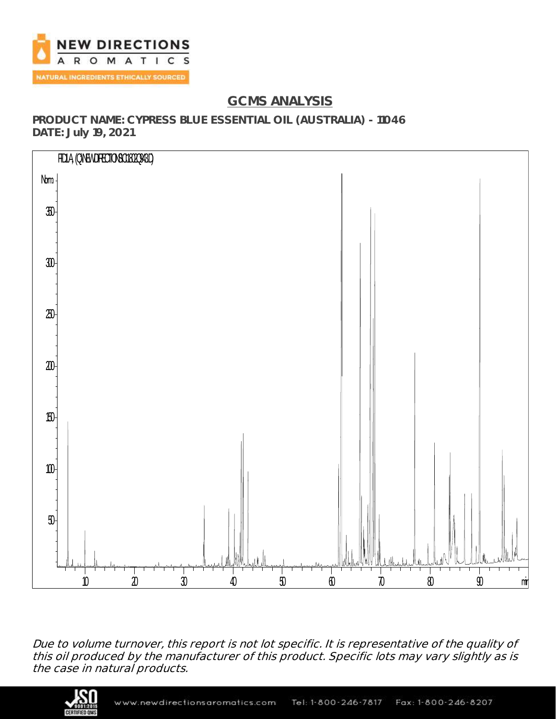

# **GCMS ANALYSIS**

**PRODUCT NAME: CYPRESS BLUE ESSENTIAL OIL (AUSTRALIA) - 11046 DATE: July 19, 2021**



Due to volume turnover, this report is not lot specific. It is representative of the quality of this oil produced by the manufacturer of this product. Specific lots may vary slightly as is the case in natural products.

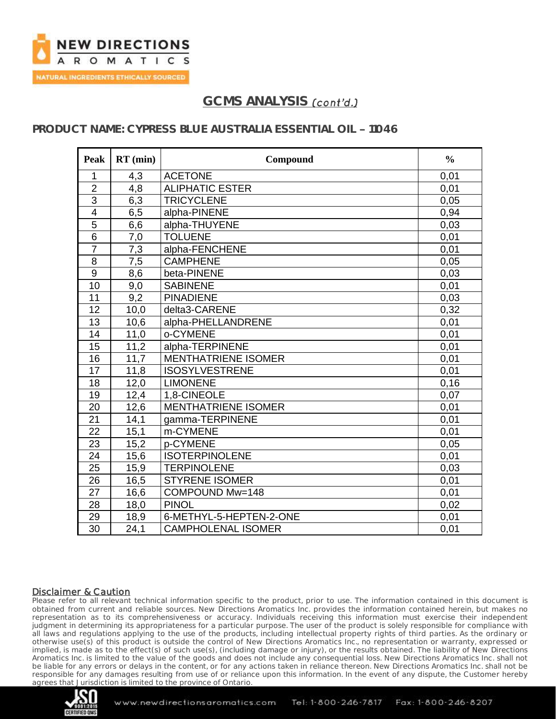

## **PRODUCT NAME: CYPRESS BLUE AUSTRALIA ESSENTIAL OIL - 11046**

| Peak            | $RT$ (min) | Compound                   | $\frac{0}{0}$ |
|-----------------|------------|----------------------------|---------------|
| 1               | 4,3        | <b>ACETONE</b>             | 0,01          |
| $\overline{2}$  | 4,8        | <b>ALIPHATIC ESTER</b>     | 0,01          |
| $\overline{3}$  | 6,3        | <b>TRICYCLENE</b>          | 0.05          |
| $\overline{4}$  | 6,5        | alpha-PINENE               | 0,94          |
| 5               | 6,6        | alpha-THUYENE              | 0,03          |
| $\overline{6}$  | 7,0        | <b>TOLUENE</b>             | 0,01          |
| $\overline{7}$  | 7,3        | alpha-FENCHENE             | 0,01          |
| 8               | 7,5        | <b>CAMPHENE</b>            | 0,05          |
| 9               | 8,6        | beta-PINENE                | 0,03          |
| 10              | 9,0        | <b>SABINENE</b>            | 0,01          |
| 11              | 9,2        | <b>PINADIENE</b>           | 0,03          |
| 12              | 10,0       | delta3-CARENE              | 0,32          |
| 13              | 10,6       | alpha-PHELLANDRENE         | 0,01          |
| 14              | 11,0       | o-CYMENE                   | 0,01          |
| 15              | 11,2       | alpha-TERPINENE            | 0,01          |
| 16              | 11,7       | <b>MENTHATRIENE ISOMER</b> | 0,01          |
| 17              | 11,8       | <b>ISOSYLVESTRENE</b>      | 0,01          |
| 18              | 12,0       | <b>LIMONENE</b>            | 0,16          |
| 19              | 12,4       | 1,8-CINEOLE                | 0,07          |
| 20              | 12,6       | <b>MENTHATRIENE ISOMER</b> | 0,01          |
| 21              | 14,1       | gamma-TERPINENE            | 0,01          |
| 22              | 15,1       | m-CYMENE                   | 0,01          |
| 23              | 15,2       | p-CYMENE                   | 0,05          |
| 24              | 15,6       | <b>ISOTERPINOLENE</b>      | 0,01          |
| 25              | 15,9       | <b>TERPINOLENE</b>         | 0,03          |
| 26              | 16,5       | <b>STYRENE ISOMER</b>      | 0,01          |
| 27              | 16,6       | COMPOUND Mw=148            | 0,01          |
| 28              | 18,0       | <b>PINOL</b>               | 0,02          |
| 29              | 18,9       | 6-METHYL-5-HEPTEN-2-ONE    | 0,01          |
| $\overline{30}$ | 24,1       | <b>CAMPHOLENAL ISOMER</b>  | 0,01          |

#### Disclaimer & Caution

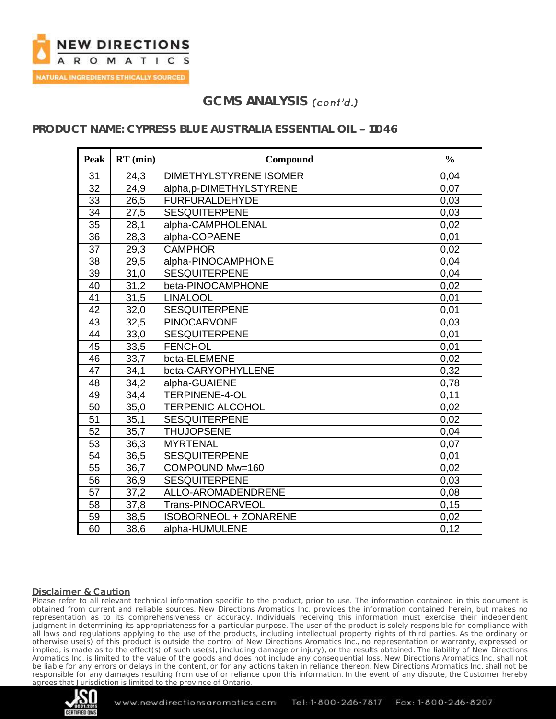

## **PRODUCT NAME: CYPRESS BLUE AUSTRALIA ESSENTIAL OIL - 11046**

| Peak            | $RT$ (min) | Compound                      | $\frac{0}{0}$ |
|-----------------|------------|-------------------------------|---------------|
| 31              | 24,3       | <b>DIMETHYLSTYRENE ISOMER</b> | 0,04          |
| 32              | 24,9       | alpha,p-DIMETHYLSTYRENE       | 0,07          |
| $\overline{33}$ | 26,5       | <b>FURFURALDEHYDE</b>         | 0,03          |
| 34              | 27,5       | <b>SESQUITERPENE</b>          | 0,03          |
| 35              | 28,1       | alpha-CAMPHOLENAL             | 0,02          |
| 36              | 28,3       | alpha-COPAENE                 | 0,01          |
| 37              | 29,3       | <b>CAMPHOR</b>                | 0,02          |
| 38              | 29,5       | alpha-PINOCAMPHONE            | 0,04          |
| 39              | 31,0       | <b>SESQUITERPENE</b>          | 0,04          |
| 40              | 31,2       | beta-PINOCAMPHONE             | 0,02          |
| 41              | 31,5       | <b>LINALOOL</b>               | 0,01          |
| 42              | 32,0       | <b>SESQUITERPENE</b>          | 0,01          |
| 43              | 32,5       | <b>PINOCARVONE</b>            | 0,03          |
| 44              | 33,0       | <b>SESQUITERPENE</b>          | 0,01          |
| 45              | 33,5       | <b>FENCHOL</b>                | 0,01          |
| 46              | 33,7       | beta-ELEMENE                  | 0,02          |
| $\overline{47}$ | 34,1       | beta-CARYOPHYLLENE            | 0,32          |
| 48              | 34,2       | alpha-GUAIENE                 | 0,78          |
| 49              | 34,4       | TERPINENE-4-OL                | 0,11          |
| 50              | 35,0       | <b>TERPENIC ALCOHOL</b>       | 0,02          |
| 51              | 35,1       | <b>SESQUITERPENE</b>          | 0,02          |
| 52              | 35,7       | <b>THUJOPSENE</b>             | 0,04          |
| 53              | 36,3       | <b>MYRTENAL</b>               | 0,07          |
| 54              | 36,5       | <b>SESQUITERPENE</b>          | 0,01          |
| $\overline{55}$ | 36,7       | COMPOUND Mw=160               | 0,02          |
| 56              | 36,9       | <b>SESQUITERPENE</b>          | 0,03          |
| 57              | 37,2       | ALLO-AROMADENDRENE            | 0,08          |
| 58              | 37,8       | Trans-PINOCARVEOL             | 0,15          |
| 59              | 38,5       | <b>ISOBORNEOL + ZONARENE</b>  | 0,02          |
| 60              | 38,6       | alpha-HUMULENE                | 0,12          |

#### Disclaimer & Caution

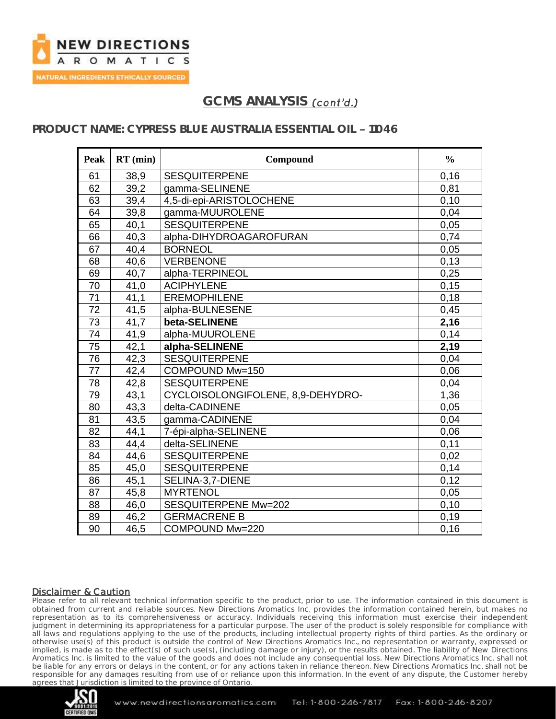

## **PRODUCT NAME: CYPRESS BLUE AUSTRALIA ESSENTIAL OIL - 11046**

| Peak | $RT$ (min) | Compound                          | $\frac{0}{0}$ |
|------|------------|-----------------------------------|---------------|
| 61   | 38,9       | <b>SESQUITERPENE</b>              | 0,16          |
| 62   | 39,2       | gamma-SELINENE                    | 0,81          |
| 63   | 39,4       | 4,5-di-epi-ARISTOLOCHENE          | 0,10          |
| 64   | 39,8       | gamma-MUUROLENE                   | 0,04          |
| 65   | 40,1       | <b>SESQUITERPENE</b>              | 0,05          |
| 66   | 40,3       | alpha-DIHYDROAGAROFURAN           | 0,74          |
| 67   | 40,4       | <b>BORNEOL</b>                    | 0,05          |
| 68   | 40,6       | <b>VERBENONE</b>                  | 0,13          |
| 69   | 40,7       | alpha-TERPINEOL                   | 0,25          |
| 70   | 41,0       | <b>ACIPHYLENE</b>                 | 0,15          |
| 71   | 41,1       | <b>EREMOPHILENE</b>               | 0,18          |
| 72   | 41,5       | alpha-BULNESENE                   | 0,45          |
| 73   | 41,7       | beta-SELINENE                     | 2,16          |
| 74   | 41,9       | alpha-MUUROLENE                   | 0,14          |
| 75   | 42,1       | alpha-SELINENE                    | 2,19          |
| 76   | 42,3       | <b>SESQUITERPENE</b>              | 0,04          |
| 77   | 42,4       | COMPOUND Mw=150                   | 0,06          |
| 78   | 42,8       | <b>SESQUITERPENE</b>              | 0,04          |
| 79   | 43,1       | CYCLOISOLONGIFOLENE, 8,9-DEHYDRO- | 1,36          |
| 80   | 43,3       | delta-CADINENE                    | 0,05          |
| 81   | 43,5       | gamma-CADINENE                    | 0,04          |
| 82   | 44,1       | 7-épi-alpha-SELINENE              | 0,06          |
| 83   | 44,4       | delta-SELINENE                    | 0,11          |
| 84   | 44,6       | <b>SESQUITERPENE</b>              | 0,02          |
| 85   | 45,0       | <b>SESQUITERPENE</b>              | 0,14          |
| 86   | 45,1       | SELINA-3,7-DIENE                  | 0,12          |
| 87   | 45,8       | <b>MYRTENOL</b>                   | 0,05          |
| 88   | 46,0       | SESQUITERPENE Mw=202              | 0,10          |
| 89   | 46,2       | <b>GERMACRENE B</b>               | 0,19          |
| 90   | 46,5       | COMPOUND Mw=220                   | 0,16          |

#### Disclaimer & Caution

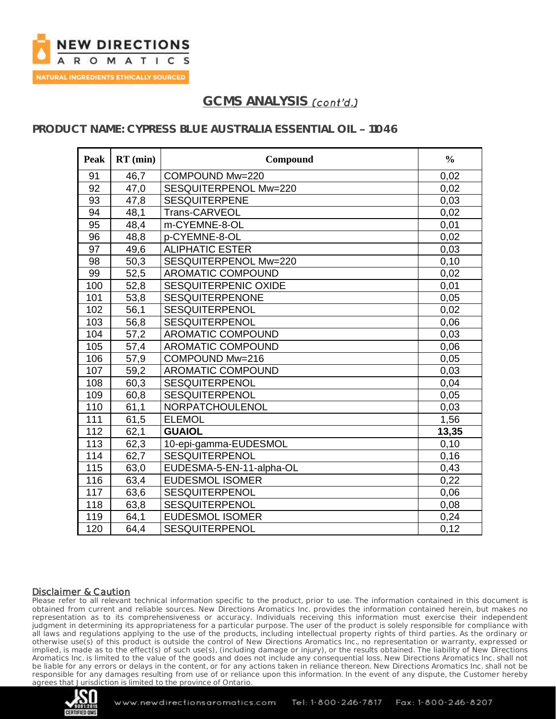

## **PRODUCT NAME: CYPRESS BLUE AUSTRALIA ESSENTIAL OIL - 11046**

| <b>Peak</b> | $RT$ (min) | Compound                 | $\frac{0}{0}$ |
|-------------|------------|--------------------------|---------------|
| 91          | 46,7       | COMPOUND Mw=220          | 0,02          |
| 92          | 47,0       | SESQUITERPENOL Mw=220    | 0,02          |
| 93          | 47,8       | <b>SESQUITERPENE</b>     | 0,03          |
| 94          | 48,1       | Trans-CARVEOL            | 0,02          |
| 95          | 48,4       | m-CYEMNE-8-OL            | 0,01          |
| 96          | 48,8       | p-CYEMNE-8-OL            | 0,02          |
| 97          | 49,6       | <b>ALIPHATIC ESTER</b>   | 0,03          |
| 98          | 50,3       | SESQUITERPENOL Mw=220    | 0,10          |
| 99          | 52,5       | <b>AROMATIC COMPOUND</b> | 0,02          |
| 100         | 52,8       | SESQUITERPENIC OXIDE     | 0,01          |
| 101         | 53,8       | <b>SESQUITERPENONE</b>   | 0,05          |
| 102         | 56,1       | <b>SESQUITERPENOL</b>    | 0,02          |
| 103         | 56,8       | <b>SESQUITERPENOL</b>    | 0,06          |
| 104         | 57,2       | <b>AROMATIC COMPOUND</b> | 0,03          |
| 105         | 57,4       | <b>AROMATIC COMPOUND</b> | 0,06          |
| 106         | 57,9       | COMPOUND Mw=216          | 0,05          |
| 107         | 59,2       | <b>AROMATIC COMPOUND</b> | 0,03          |
| 108         | 60,3       | SESQUITERPENOL           | 0,04          |
| 109         | 60,8       | SESQUITERPENOL           | 0,05          |
| 110         | 61,1       | NORPATCHOULENOL          | 0,03          |
| 111         | 61,5       | <b>ELEMOL</b>            | 1,56          |
| 112         | 62,1       | <b>GUAIOL</b>            | 13,35         |
| 113         | 62,3       | 10-epi-gamma-EUDESMOL    | 0,10          |
| 114         | 62,7       | SESQUITERPENOL           | 0,16          |
| 115         | 63,0       | EUDESMA-5-EN-11-alpha-OL | 0,43          |
| 116         | 63,4       | <b>EUDESMOL ISOMER</b>   | 0,22          |
| 117         | 63,6       | SESQUITERPENOL           | 0,06          |
| 118         | 63,8       | <b>SESQUITERPENOL</b>    | 0,08          |
| 119         | 64,1       | <b>EUDESMOL ISOMER</b>   | 0,24          |
| 120         | 64,4       | SESQUITERPENOL           | 0,12          |

#### Disclaimer & Caution

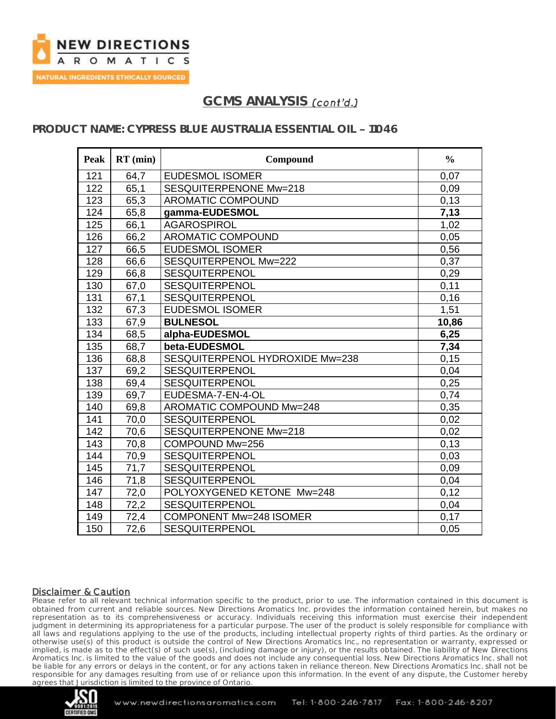

## **PRODUCT NAME: CYPRESS BLUE AUSTRALIA ESSENTIAL OIL - 11046**

| <b>Peak</b> | $RT$ (min) | Compound                        | $\frac{0}{0}$ |
|-------------|------------|---------------------------------|---------------|
| 121         | 64,7       | <b>EUDESMOL ISOMER</b>          | 0,07          |
| 122         | 65,1       | SESQUITERPENONE Mw=218          | 0,09          |
| 123         | 65,3       | <b>AROMATIC COMPOUND</b>        | 0,13          |
| 124         | 65,8       | gamma-EUDESMOL                  | 7,13          |
| 125         | 66,1       | <b>AGAROSPIROL</b>              | 1,02          |
| 126         | 66,2       | <b>AROMATIC COMPOUND</b>        | 0,05          |
| 127         | 66,5       | <b>EUDESMOL ISOMER</b>          | 0,56          |
| 128         | 66,6       | SESQUITERPENOL Mw=222           | 0,37          |
| 129         | 66,8       | <b>SESQUITERPENOL</b>           | 0,29          |
| 130         | 67,0       | SESQUITERPENOL                  | 0,11          |
| 131         | 67,1       | <b>SESQUITERPENOL</b>           | 0,16          |
| 132         | 67,3       | <b>EUDESMOL ISOMER</b>          | 1,51          |
| 133         | 67,9       | <b>BULNESOL</b>                 | 10,86         |
| 134         | 68,5       | alpha-EUDESMOL                  | 6,25          |
| 135         | 68,7       | beta-EUDESMOL                   | 7,34          |
| 136         | 68,8       | SESQUITERPENOL HYDROXIDE Mw=238 | 0,15          |
| 137         | 69,2       | <b>SESQUITERPENOL</b>           | 0,04          |
| 138         | 69,4       | <b>SESQUITERPENOL</b>           | 0,25          |
| 139         | 69,7       | EUDESMA-7-EN-4-OL               | 0,74          |
| 140         | 69,8       | AROMATIC COMPOUND Mw=248        | 0,35          |
| 141         | 70,0       | <b>SESQUITERPENOL</b>           | 0,02          |
| 142         | 70,6       | SESQUITERPENONE Mw=218          | 0,02          |
| 143         | 70,8       | COMPOUND Mw=256                 | 0,13          |
| 144         | 70,9       | <b>SESQUITERPENOL</b>           | 0,03          |
| 145         | 71,7       | <b>SESQUITERPENOL</b>           | 0,09          |
| 146         | 71,8       | <b>SESQUITERPENOL</b>           | 0,04          |
| 147         | 72,0       | POLYOXYGENED KETONE Mw=248      | 0,12          |
| 148         | 72,2       | <b>SESQUITERPENOL</b>           | 0,04          |
| 149         | 72,4       | <b>COMPONENT Mw=248 ISOMER</b>  | 0,17          |
| 150         | 72,6       | <b>SESQUITERPENOL</b>           | 0,05          |

#### Disclaimer & Caution

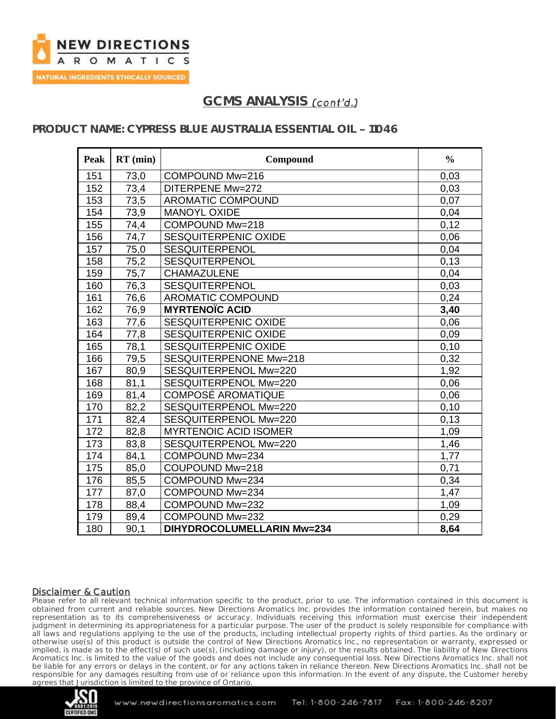

## **PRODUCT NAME: CYPRESS BLUE AUSTRALIA ESSENTIAL OIL - 11046**

| Peak | $RT$ (min) | Compound                          | $\frac{0}{0}$ |
|------|------------|-----------------------------------|---------------|
| 151  | 73,0       | COMPOUND Mw=216                   | 0,03          |
| 152  | 73,4       | DITERPENE Mw=272                  | 0,03          |
| 153  | 73,5       | <b>AROMATIC COMPOUND</b>          | 0.07          |
| 154  | 73,9       | <b>MANOYL OXIDE</b>               | 0,04          |
| 155  | 74,4       | COMPOUND Mw=218                   | 0,12          |
| 156  | 74,7       | <b>SESQUITERPENIC OXIDE</b>       | 0,06          |
| 157  | 75,0       | SESQUITERPENOL                    | 0,04          |
| 158  | 75,2       | <b>SESQUITERPENOL</b>             | 0,13          |
| 159  | 75,7       | <b>CHAMAZULENE</b>                | 0,04          |
| 160  | 76,3       | SESQUITERPENOL                    | 0,03          |
| 161  | 76,6       | <b>AROMATIC COMPOUND</b>          | 0,24          |
| 162  | 76,9       | <b>MYRTENOÏC ACID</b>             | 3,40          |
| 163  | 77,6       | <b>SESQUITERPENIC OXIDE</b>       | 0,06          |
| 164  | 77,8       | SESQUITERPENIC OXIDE              | 0,09          |
| 165  | 78,1       | SESQUITERPENIC OXIDE              | 0,10          |
| 166  | 79,5       | SESQUITERPENONE Mw=218            | 0,32          |
| 167  | 80,9       | SESQUITERPENOL Mw=220             | 1,92          |
| 168  | 81,1       | SESQUITERPENOL Mw=220             | 0,06          |
| 169  | 81,4       | <b>COMPOSÉ AROMATIQUE</b>         | 0,06          |
| 170  | 82,2       | SESQUITERPENOL Mw=220             | 0,10          |
| 171  | 82,4       | SESQUITERPENOL Mw=220             | 0,13          |
| 172  | 82,8       | <b>MYRTENOIC ACID ISOMER</b>      | 1,09          |
| 173  | 83,8       | SESQUITERPENOL Mw=220             | 1,46          |
| 174  | 84,1       | COMPOUND Mw=234                   | 1,77          |
| 175  | 85,0       | COUPOUND Mw=218                   | 0,71          |
| 176  | 85,5       | COMPOUND Mw=234                   | 0,34          |
| 177  | 87,0       | COMPOUND Mw=234                   | 1,47          |
| 178  | 88,4       | COMPOUND Mw=232                   | 1,09          |
| 179  | 89,4       | COMPOUND Mw=232                   | 0,29          |
| 180  | 90,1       | <b>DIHYDROCOLUMELLARIN Mw=234</b> | 8,64          |

#### Disclaimer & Caution